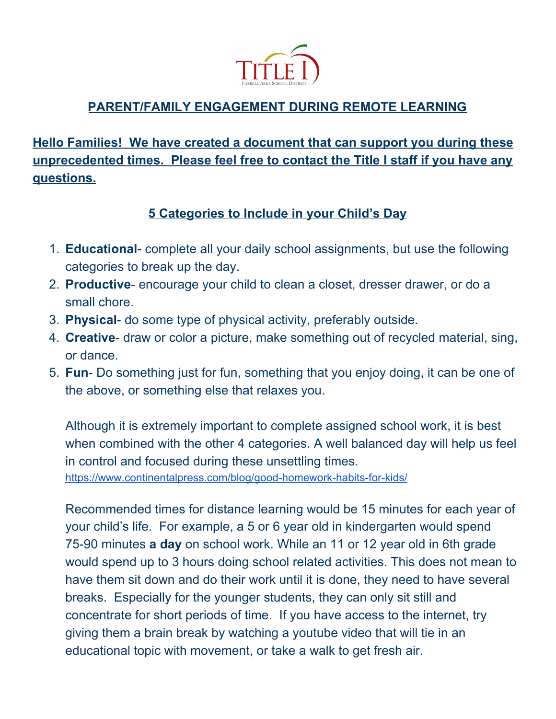

## **PARENT/FAMILY ENGAGEMENT DURING REMOTE LEARNING**

**Hello Families! We have created a document that can support you during these unprecedented times. Please feel free to contact the Title I staff if you have any questions.**

## **5 Categories to Include in your Child's Day**

- 1. **Educational** complete all your daily school assignments, but use the following categories to break up the day.
- 2. **Productive** encourage your child to clean a closet, dresser drawer, or do a small chore.
- 3. **Physical** do some type of physical activity, preferably outside.
- 4. **Creative** draw or color a picture, make something out of recycled material, sing, or dance.
- 5. **Fun** Do something just for fun, something that you enjoy doing, it can be one of the above, or something else that relaxes you.

Although it is extremely important to complete assigned school work, it is best when combined with the other 4 categories. A well balanced day will help us feel in control and focused during these unsettling times. <https://www.continentalpress.com/blog/good-homework-habits-for-kids/>

Recommended times for distance learning would be 15 minutes for each year of your child's life. For example, a 5 or 6 year old in kindergarten would spend 75-90 minutes **a day** on school work. While an 11 or 12 year old in 6th grade would spend up to 3 hours doing school related activities. This does not mean to have them sit down and do their work until it is done, they need to have several breaks. Especially for the younger students, they can only sit still and concentrate for short periods of time. If you have access to the internet, try giving them a brain break by watching a youtube video that will tie in an educational topic with movement, or take a walk to get fresh air.